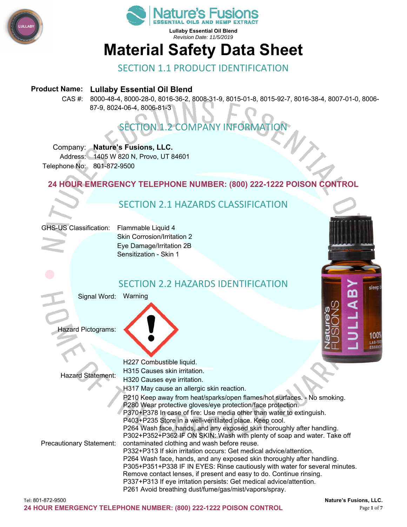



# **Material Safety Data Sheet**

## SECTION 1.1 PRODUCT IDENTIFICATION

#### **Product Name: Lullaby Essential Oil Blend**

CAS #: 8000-48-4, 8000-28-0, 8016-36-2, 8008-31-9, 8015-01-8, 8015-92-7, 8016-38-4, 8007-01-0, 8006- 87-9, 8024-06-4, 8006-81-3

## SECTION 1.2 COMPANY INFORMATION

#### Company: **Nature's Fusions, LLC.**

Address: 1405 W 820 N, Provo, UT 84601 Telephone No: 801-872-9500

#### **24 HOUR EMERGENCY TELEPHONE NUMBER: (800) 222-1222 POISON CONTROL**

## SECTION 2.1 HAZARDS CLASSIFICATION

| GHS-US Classification: |
|------------------------|
|------------------------|

Flammable Liquid 4 Skin Corrosion/Irritation 2 Eye Damage/Irritation 2B Sensitization - Skin 1

## SECTION 2.2 HAZARDS IDENTIFICATION

Signal Word: Warning

Hazard Pictograms:



Hazard Statement: H227 Combustible liquid. H315 Causes skin irritation. H320 Causes eye irritation. H317 May cause an allergic skin reaction. Precautionary Statement: P210 Keep away from heat/sparks/open flames/hot surfaces. - No smoking. P280 Wear protective gloves/eye protection/face protection. P370+P378 In case of fire: Use media other than water to extinguish. P403+P235 Store in a well-ventilated place. Keep cool. P264 Wash face, hands, and any exposed skin thoroughly after handling. P302+P352+P362 IF ON SKIN: Wash with plenty of soap and water. Take off contaminated clothing and wash before reuse. P332+P313 If skin irritation occurs: Get medical advice/attention. P264 Wash face, hands, and any exposed skin thoroughly after handling. P305+P351+P338 IF IN EYES: Rinse cautiously with water for several minutes. Remove contact lenses, if present and easy to do. Continue rinsing. P337+P313 If eye irritation persists: Get medical advice/attention. P261 Avoid breathing dust/fume/gas/mist/vapors/spray.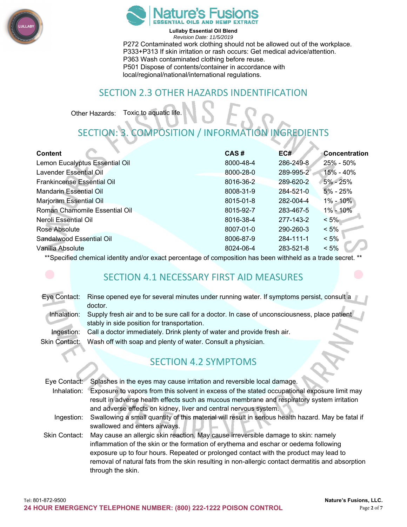



**Lullaby Essential Oil Blend**  *Revision Date: 11/5/2019*  P272 Contaminated work clothing should not be allowed out of the workplace. P333+P313 If skin irritation or rash occurs: Get medical advice/attention. P363 Wash contaminated clothing before reuse. P501 Dispose of contents/container in accordance with local/regional/national/international regulations.

## SECTION 2.3 OTHER HAZARDS INDENTIFICATION

Other Hazards: Toxic to aquatic life.

## SECTION: 3. COMPOSITION / INFORMATION INGREDIENTS

| <b>Content</b>                    | CAS#      | EC#       | <b>Concentration</b> |
|-----------------------------------|-----------|-----------|----------------------|
| Lemon Eucalyptus Essential Oil    | 8000-48-4 | 286-249-8 | 25% - 50%            |
| Lavender Essential Oil            | 8000-28-0 | 289-995-2 | 15% - 40%            |
| <b>Frankincense Essential Oil</b> | 8016-36-2 | 289-620-2 | $5\% - 25\%$         |
| <b>Mandarin Essential Oil</b>     | 8008-31-9 | 284-521-0 | $5% - 25%$           |
| Marjoram Essential Oil            | 8015-01-8 | 282-004-4 | $1\% - 10\%$         |
| Roman Chamomile Essential Oil     | 8015-92-7 | 283-467-5 | 1% - 10%             |
| Neroli Essential Oil              | 8016-38-4 | 277-143-2 | $< 5\%$              |
| Rose Absolute                     | 8007-01-0 | 290-260-3 | $< 5\%$              |
| Sandalwood Essential Oil          | 8006-87-9 | 284-111-1 | $< 5\%$              |
| Vanilla Absolute                  | 8024-06-4 | 283-521-8 | $< 5\%$              |

\*\*Specified chemical identity and/or exact percentage of composition has been withheld as a trade secret. \*\*

## SECTION 4.1 NECESSARY FIRST AID MEASURES

| Eye Contact:         | Rinse opened eye for several minutes under running water. If symptoms persist, consult a     |  |  |
|----------------------|----------------------------------------------------------------------------------------------|--|--|
|                      | doctor.                                                                                      |  |  |
| Inhalation:          | Supply fresh air and to be sure call for a doctor. In case of unconsciousness, place patient |  |  |
|                      | stably in side position for transportation.                                                  |  |  |
| Ingestion:           | Call a doctor immediately. Drink plenty of water and provide fresh air.                      |  |  |
| <b>Skin Contact:</b> | Wash off with soap and plenty of water. Consult a physician.                                 |  |  |
|                      |                                                                                              |  |  |
|                      | <b>SECTION 4.2 SYMPTOMS</b>                                                                  |  |  |
|                      |                                                                                              |  |  |
|                      |                                                                                              |  |  |

| Eye Contact:  | Splashes in the eyes may cause irritation and reversible local damage.                             |  |
|---------------|----------------------------------------------------------------------------------------------------|--|
| Inhalation:   | Exposure to vapors from this solvent in excess of the stated occupational exposure limit may       |  |
|               | result in adverse health effects such as mucous membrane and respiratory system irritation         |  |
|               | and adverse effects on kidney, liver and central nervous system.                                   |  |
| Ingestion:    | Swallowing a small quantity of this material will result in serious health hazard. May be fatal if |  |
|               | swallowed and enters airways.                                                                      |  |
| Skin Contact: | May cause an allergic skin reaction. May cause irreversible damage to skin: namely                 |  |
|               | inflammation of the skin or the formation of erythema and eschar or oedema following               |  |
|               | exposure up to four hours. Repeated or prolonged contact with the product may lead to              |  |
|               | removal of natural fats from the skin resulting in non-allergic contact dermatitis and absorption  |  |
|               | through the skin.                                                                                  |  |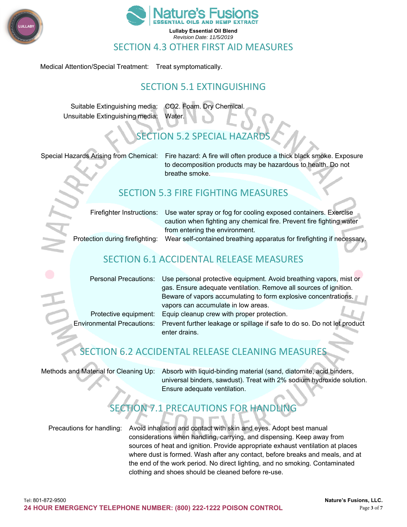



#### SECTION 4.3 OTHER FIRST AID MEASURES

Medical Attention/Special Treatment: Treat symptomatically.

## SECTION 5.1 EXTINGUISHING

Suitable Extinguishing media: CO2. Foam. Dry Chemical. Unsuitable Extinguishing media: Water.

## SECTION 5.2 SPECIAL HAZARD

Special Hazards Arising from Chemical: Fire hazard: A fire will often produce a thick black smoke. Exposure to decomposition products may be hazardous to health. Do not breathe smoke.

## SECTION 5.3 FIRE FIGHTING MEASURES

|                                 | Firefighter Instructions: Use water spray or fog for cooling exposed containers. Exercise |
|---------------------------------|-------------------------------------------------------------------------------------------|
|                                 | caution when fighting any chemical fire. Prevent fire fighting water                      |
|                                 | from entering the environment.                                                            |
| Protection during firefighting: | Wear self-contained breathing apparatus for firefighting if necessary.                    |
|                                 |                                                                                           |
|                                 |                                                                                           |

## SECTION 6.1 ACCIDENTAL RELEASE MEASURES

| Personal Precautions: Use personal protective equipment. Avoid breathing vapors, mist or            |
|-----------------------------------------------------------------------------------------------------|
| gas. Ensure adequate ventilation. Remove all sources of ignition.                                   |
| Beware of vapors accumulating to form explosive concentrations.                                     |
| vapors can accumulate in low areas.                                                                 |
| Protective equipment: Equip cleanup crew with proper protection.                                    |
| Environmental Precautions: Prevent further leakage or spillage if safe to do so. Do not let product |
| enter drains.                                                                                       |
|                                                                                                     |

## SECTION 6.2 ACCIDENTAL RELEASE CLEANING MEASURES

Methods and Material for Cleaning Up: Absorb with liquid-binding material (sand, diatomite, acid binders, universal binders, sawdust). Treat with 2% sodium hydroxide solution. Ensure adequate ventilation.

## SECTION 7.1 PRECAUTIONS FOR HANDLING

Precautions for handling: Avoid inhalation and contact with skin and eyes. Adopt best manual considerations when handling, carrying, and dispensing. Keep away from sources of heat and ignition. Provide appropriate exhaust ventilation at places where dust is formed. Wash after any contact, before breaks and meals, and at the end of the work period. No direct lighting, and no smoking. Contaminated clothing and shoes should be cleaned before re-use.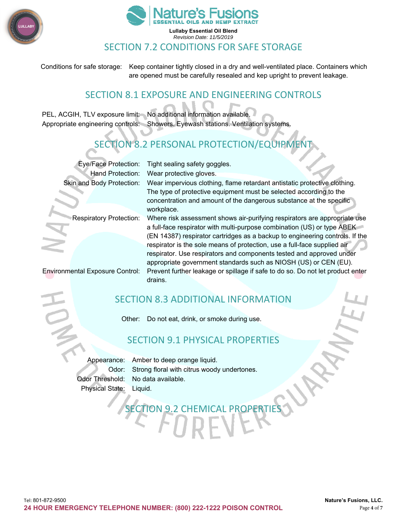



#### SECTION 7.2 CONDITIONS FOR SAFE STORAGE

Conditions for safe storage: Keep container tightly closed in a dry and well-ventilated place. Containers which are opened must be carefully resealed and kep upright to prevent leakage.

#### SECTION 8.1 EXPOSURE AND ENGINEERING CONTROLS

PEL, ACGIH, TLV exposure limit: No additional information available. Appropriate engineering controls: Showers. Eyewash stations. Ventilation systems.

## TION 8.2 PERSONAL PROTECTION/EQUIPMENT

Eye/Face Protection: Tight sealing safety goggles. Hand Protection: Wear protective gloves. Skin and Body Protection: Wear impervious clothing, flame retardant antistatic protective clothing. The type of protective equipment must be selected according to the concentration and amount of the dangerous substance at the specific

workplace. Respiratory Protection: Where risk assessment shows air-purifying respirators are appropriate use a full-face respirator with multi-purpose combination (US) or type ABEK (EN 14387) respirator cartridges as a backup to engineering controls. If the respirator is the sole means of protection, use a full-face supplied air respirator. Use respirators and components tested and approved under appropriate government standards such as NIOSH (US) or CEN (EU). Environmental Exposure Control: Prevent further leakage or spillage if safe to do so. Do not let product enter drains.

## SECTION 8.3 ADDITIONAL INFORMATION

Other: Do not eat, drink, or smoke during use.

#### SECTION 9.1 PHYSICAL PROPERTIES

SECTION 9.2 CHEMICAL PROPERTIES

Appearance: Amber to deep orange liquid. Odor: Strong floral with citrus woody undertones. Odor Threshold: No data available. Physical State: Liquid.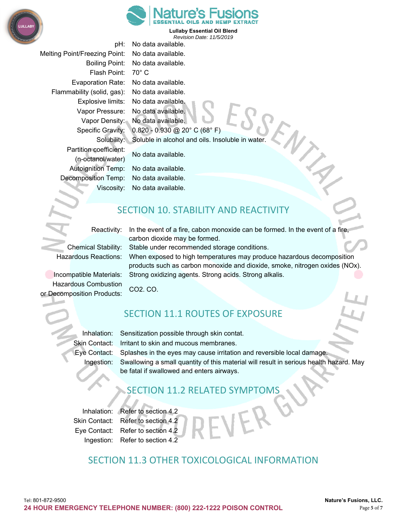



pH: No data available. Melting Point/Freezing Point: No data available. Boiling Point: No data available. Flash Point: 70° C Evaporation Rate: No data available. Flammability (solid, gas): No data available. Explosive limits: No data available. Vapor Pressure: No data available. Vapor Density: No data available. Specific Gravity: 0.820 - 0.930 @ 20° C (68° F) Solubility: Soluble in alcohol and oils. Insoluble in water. Partition coefficient: No data available. (n-octanol/water) Autoignition Temp: No data available. Decomposition Temp: No data available. Viscosity: No data available.

## SECTION 10. STABILITY AND REACTIVITY

Reactivity: In the event of a fire, cabon monoxide can be formed. In the event of a fire,

Chemical Stability: Stable under recommended storage conditions.

Hazardous Reactions: When exposed to high temperatures may produce hazardous decomposition products such as carbon monoxide and dioxide, smoke, nitrogen oxides (NOx). Incompatible Materials: Strong oxidizing agents. Strong acids. Strong alkalis.

Hazardous Combustion CO2. CO. or Decomposition Products:

## SECTION 11.1 ROUTES OF EXPOSURE

Inhalation: Sensitization possible through skin contat. Skin Contact: Irritant to skin and mucous membranes. Eye Contact: Splashes in the eyes may cause irritation and reversible local damage.

carbon dioxide may be formed.

Ingestion: Swallowing a small quantity of this material will result in serious health hazard. May be fatal if swallowed and enters airways.

## SECTION 11.2 RELATED SYMPTOMS

Inhalation: Refer to section 4.2

Skin Contact: Refer to section 4.2 Eye Contact: Refer to section 4.2 Ingestion: Refer to section 4.2

## SECTION 11.3 OTHER TOXICOLOGICAL INFORMATION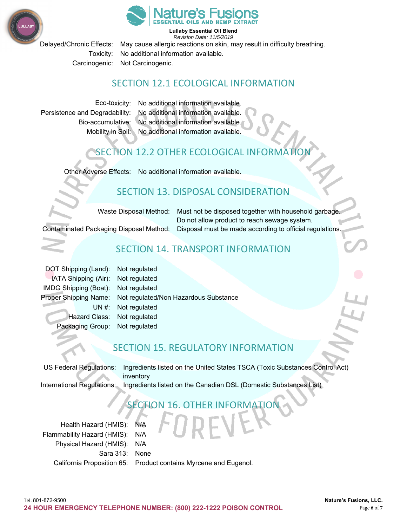



**Lullaby Essential Oil Blend** 

*Revision Date: 11/5/2019*  Delayed/Chronic Effects: May cause allergic reactions on skin, may result in difficulty breathing. Toxicity: No additional information available. Carcinogenic: Not Carcinogenic.

#### SECTION 12.1 ECOLOGICAL INFORMATION

Eco-toxicity: No additional information available. Persistence and Degradability: No additional information available. Bio-accumulative: No additional information available. Mobility in Soil: No additional information available.

## SECTION 12.2 OTHER ECOLOGICAL INFORMATION

Other Adverse Effects: No additional information available.

## SECTION 13. DISPOSAL CONSIDERATION

Waste Disposal Method: Must not be disposed together with household garbage. Do not allow product to reach sewage system. Contaminated Packaging Disposal Method: Disposal must be made according to official regulations.

## SECTION 14. TRANSPORT INFORMATION

DOT Shipping (Land): Not regulated IATA Shipping (Air): Not regulated IMDG Shipping (Boat): Not regulated Proper Shipping Name: Not regulated/Non Hazardous Substance UN #: Not regulated Hazard Class: Not regulated Packaging Group: Not regulated

## SECTION 15. REGULATORY INFORMATION

US Federal Regulations: Ingredients listed on the United States TSCA (Toxic Substances Control Act) inventory International Regulations: Ingredients listed on the Canadian DSL (Domestic Substances List)

## SECTION 16. OTHER INFORMATION

Health Hazard (HMIS): N/A Flammability Hazard (HMIS): N/A Physical Hazard (HMIS): N/A Sara 313: None California Proposition 65: Product contains Myrcene and Eugenol.